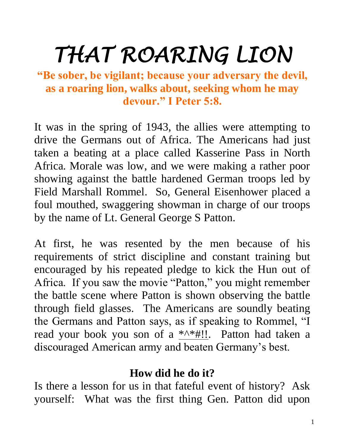# *THAT ROARING LION*

**"Be sober, be vigilant; because your adversary the devil, as a roaring lion, walks about, seeking whom he may devour." I Peter 5:8.**

It was in the spring of 1943, the allies were attempting to drive the Germans out of Africa. The Americans had just taken a beating at a place called Kasserine Pass in North Africa. Morale was low, and we were making a rather poor showing against the battle hardened German troops led by Field Marshall Rommel. So, General Eisenhower placed a foul mouthed, swaggering showman in charge of our troops by the name of Lt. General George S Patton.

At first, he was resented by the men because of his requirements of strict discipline and constant training but encouraged by his repeated pledge to kick the Hun out of Africa. If you saw the movie "Patton," you might remember the battle scene where Patton is shown observing the battle through field glasses. The Americans are soundly beating the Germans and Patton says, as if speaking to Rommel, "I read your book you son of a \*^\*#!!. Patton had taken a discouraged American army and beaten Germany's best.

### **How did he do it?**

Is there a lesson for us in that fateful event of history? Ask yourself: What was the first thing Gen. Patton did upon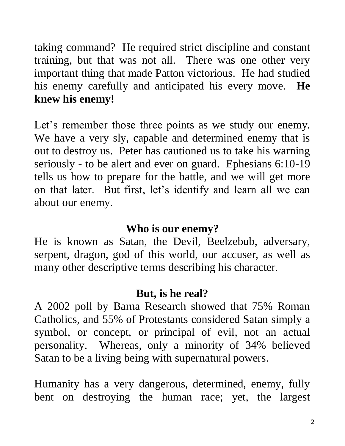taking command? He required strict discipline and constant training, but that was not all. There was one other very important thing that made Patton victorious. He had studied his enemy carefully and anticipated his every move. **He knew his enemy!**

Let's remember those three points as we study our enemy. We have a very sly, capable and determined enemy that is out to destroy us. Peter has cautioned us to take his warning seriously - to be alert and ever on guard. Ephesians 6:10-19 tells us how to prepare for the battle, and we will get more on that later. But first, let's identify and learn all we can about our enemy.

#### **Who is our enemy?**

He is known as Satan, the Devil, Beelzebub, adversary, serpent, dragon, god of this world, our accuser, as well as many other descriptive terms describing his character.

### **But, is he real?**

A 2002 poll by Barna Research showed that 75% Roman Catholics, and 55% of Protestants considered Satan simply a symbol, or concept, or principal of evil, not an actual personality. Whereas, only a minority of 34% believed Satan to be a living being with supernatural powers.

Humanity has a very dangerous, determined, enemy, fully bent on destroying the human race; yet, the largest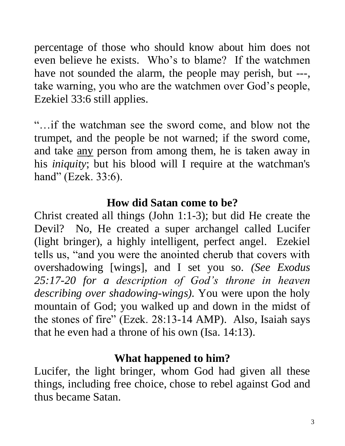percentage of those who should know about him does not even believe he exists. Who's to blame? If the watchmen have not sounded the alarm, the people may perish, but ---, take warning, you who are the watchmen over God's people, Ezekiel 33:6 still applies.

"…if the watchman see the sword come, and blow not the trumpet, and the people be not warned; if the sword come, and take any person from among them, he is taken away in his *iniquity*; but his blood will I require at the watchman's hand" (Ezek. 33:6).

### **How did Satan come to be?**

Christ created all things (John 1:1-3); but did He create the Devil? No, He created a super archangel called Lucifer (light bringer), a highly intelligent, perfect angel. Ezekiel tells us, "and you were the anointed cherub that covers with overshadowing [wings], and I set you so. *(See Exodus 25:17-20 for a description of God's throne in heaven describing over shadowing-wings).* You were upon the holy mountain of God; you walked up and down in the midst of the stones of fire" (Ezek. 28:13-14 AMP). Also, Isaiah says that he even had a throne of his own (Isa. 14:13).

### **What happened to him?**

Lucifer, the light bringer, whom God had given all these things, including free choice, chose to rebel against God and thus became Satan.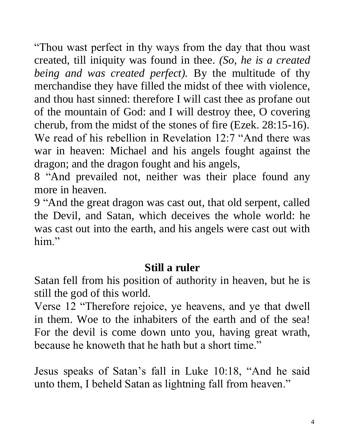"Thou wast perfect in thy ways from the day that thou wast created, till iniquity was found in thee. *(So, he is a created being and was created perfect).* By the multitude of thy merchandise they have filled the midst of thee with violence, and thou hast sinned: therefore I will cast thee as profane out of the mountain of God: and I will destroy thee, O covering cherub, from the midst of the stones of fire (Ezek. 28:15-16). We read of his rebellion in Revelation 12:7 "And there was war in heaven: Michael and his angels fought against the dragon; and the dragon fought and his angels,

8 "And prevailed not, neither was their place found any more in heaven.

9 "And the great dragon was cast out, that old serpent, called the Devil, and Satan, which deceives the whole world: he was cast out into the earth, and his angels were cast out with him."

# **Still a ruler**

Satan fell from his position of authority in heaven, but he is still the god of this world.

Verse 12 "Therefore rejoice, ye heavens, and ye that dwell in them. Woe to the inhabiters of the earth and of the sea! For the devil is come down unto you, having great wrath, because he knoweth that he hath but a short time."

Jesus speaks of Satan's fall in Luke 10:18, "And he said unto them, I beheld Satan as lightning fall from heaven."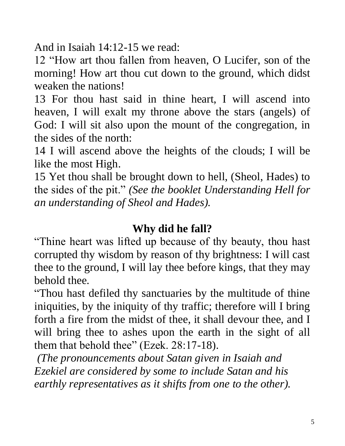And in Isaiah 14:12-15 we read:

12 "How art thou fallen from heaven, O Lucifer, son of the morning! How art thou cut down to the ground, which didst weaken the nations!

13 For thou hast said in thine heart, I will ascend into heaven, I will exalt my throne above the stars (angels) of God: I will sit also upon the mount of the congregation, in the sides of the north:

14 I will ascend above the heights of the clouds; I will be like the most High.

15 Yet thou shall be brought down to hell, (Sheol, Hades) to the sides of the pit." *(See the booklet Understanding Hell for an understanding of Sheol and Hades).*

### **Why did he fall?**

"Thine heart was lifted up because of thy beauty, thou hast corrupted thy wisdom by reason of thy brightness: I will cast thee to the ground, I will lay thee before kings, that they may behold thee.

"Thou hast defiled thy sanctuaries by the multitude of thine iniquities, by the iniquity of thy traffic; therefore will I bring forth a fire from the midst of thee, it shall devour thee, and I will bring thee to ashes upon the earth in the sight of all them that behold thee" (Ezek. 28:17-18).

*(The pronouncements about Satan given in Isaiah and Ezekiel are considered by some to include Satan and his earthly representatives as it shifts from one to the other).*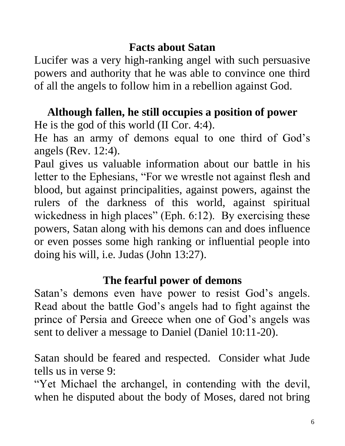# **Facts about Satan**

Lucifer was a very high-ranking angel with such persuasive powers and authority that he was able to convince one third of all the angels to follow him in a rebellion against God.

# **Although fallen, he still occupies a position of power**

He is the god of this world (II Cor. 4:4).

He has an army of demons equal to one third of God's angels (Rev. 12:4).

Paul gives us valuable information about our battle in his letter to the Ephesians, "For we wrestle not against flesh and blood, but against principalities, against powers, against the rulers of the darkness of this world, against spiritual wickedness in high places" (Eph. 6:12). By exercising these powers, Satan along with his demons can and does influence or even posses some high ranking or influential people into doing his will, i.e. Judas (John 13:27).

# **The fearful power of demons**

Satan's demons even have power to resist God's angels. Read about the battle God's angels had to fight against the prince of Persia and Greece when one of God's angels was sent to deliver a message to Daniel (Daniel 10:11-20).

Satan should be feared and respected. Consider what Jude tells us in verse 9:

"Yet Michael the archangel, in contending with the devil, when he disputed about the body of Moses, dared not bring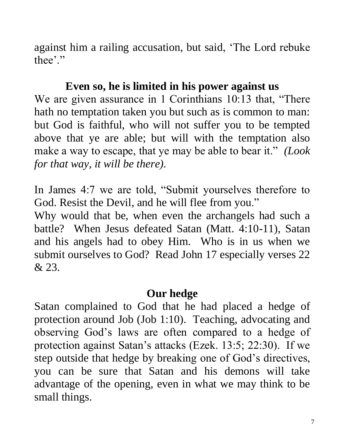against him a railing accusation, but said, 'The Lord rebuke thee'."

# **Even so, he is limited in his power against us**

We are given assurance in 1 Corinthians 10:13 that, "There hath no temptation taken you but such as is common to man: but God is faithful, who will not suffer you to be tempted above that ye are able; but will with the temptation also make a way to escape, that ye may be able to bear it." *(Look for that way, it will be there).*

In James 4:7 we are told, "Submit yourselves therefore to God. Resist the Devil, and he will flee from you."

Why would that be, when even the archangels had such a battle? When Jesus defeated Satan (Matt. 4:10-11), Satan and his angels had to obey Him. Who is in us when we submit ourselves to God? Read John 17 especially verses 22 & 23.

### **Our hedge**

Satan complained to God that he had placed a hedge of protection around Job (Job 1:10). Teaching, advocating and observing God's laws are often compared to a hedge of protection against Satan's attacks (Ezek. 13:5; 22:30). If we step outside that hedge by breaking one of God's directives, you can be sure that Satan and his demons will take advantage of the opening, even in what we may think to be small things.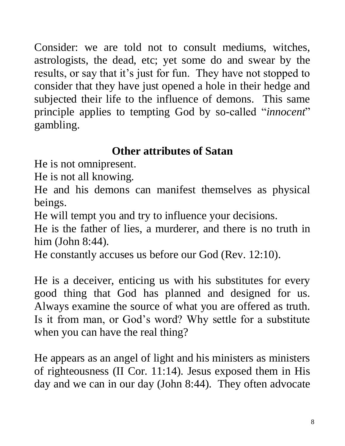Consider: we are told not to consult mediums, witches, astrologists, the dead, etc; yet some do and swear by the results, or say that it's just for fun. They have not stopped to consider that they have just opened a hole in their hedge and subjected their life to the influence of demons. This same principle applies to tempting God by so-called "*innocent*" gambling.

# **Other attributes of Satan**

He is not omnipresent.

He is not all knowing.

He and his demons can manifest themselves as physical beings.

He will tempt you and try to influence your decisions.

He is the father of lies, a murderer, and there is no truth in him (John 8:44).

He constantly accuses us before our God (Rev. 12:10).

He is a deceiver, enticing us with his substitutes for every good thing that God has planned and designed for us. Always examine the source of what you are offered as truth. Is it from man, or God's word? Why settle for a substitute when you can have the real thing?

He appears as an angel of light and his ministers as ministers of righteousness (II Cor. 11:14). Jesus exposed them in His day and we can in our day (John 8:44). They often advocate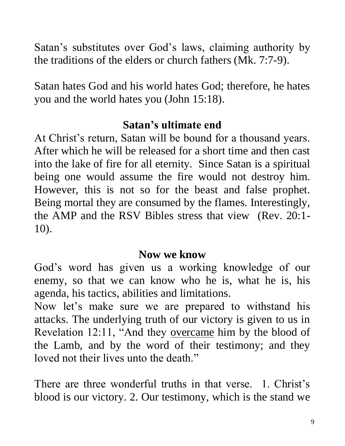Satan's substitutes over God's laws, claiming authority by the traditions of the elders or church fathers (Mk. 7:7-9).

Satan hates God and his world hates God; therefore, he hates you and the world hates you (John 15:18).

### **Satan's ultimate end**

At Christ's return, Satan will be bound for a thousand years. After which he will be released for a short time and then cast into the lake of fire for all eternity. Since Satan is a spiritual being one would assume the fire would not destroy him. However, this is not so for the beast and false prophet. Being mortal they are consumed by the flames. Interestingly, the AMP and the RSV Bibles stress that view (Rev. 20:1- 10).

#### **Now we know**

God's word has given us a working knowledge of our enemy, so that we can know who he is, what he is, his agenda, his tactics, abilities and limitations.

Now let's make sure we are prepared to withstand his attacks. The underlying truth of our victory is given to us in Revelation 12:11, "And they overcame him by the blood of the Lamb, and by the word of their testimony; and they loved not their lives unto the death."

There are three wonderful truths in that verse. 1. Christ's blood is our victory. 2. Our testimony, which is the stand we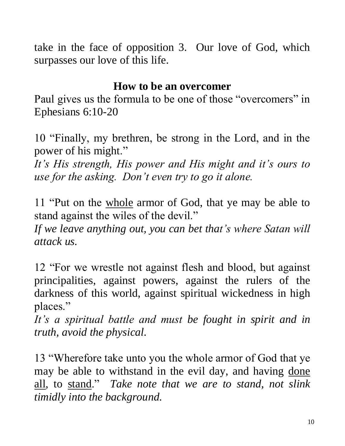take in the face of opposition 3. Our love of God, which surpasses our love of this life.

# **How to be an overcomer**

Paul gives us the formula to be one of those "overcomers" in Ephesians 6:10-20

10 "Finally, my brethren, be strong in the Lord, and in the power of his might."

*It's His strength, His power and His might and it's ours to use for the asking. Don't even try to go it alone.*

11 "Put on the whole armor of God, that ye may be able to stand against the wiles of the devil."

*If we leave anything out, you can bet that's where Satan will attack us.*

12 "For we wrestle not against flesh and blood, but against principalities, against powers, against the rulers of the darkness of this world, against spiritual wickedness in high places."

*It's a spiritual battle and must be fought in spirit and in truth, avoid the physical.*

13 "Wherefore take unto you the whole armor of God that ye may be able to withstand in the evil day, and having done all, to stand." *Take note that we are to stand, not slink timidly into the background.*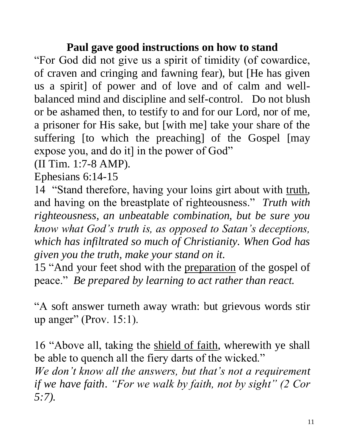# **Paul gave good instructions on how to stand**

"For God did not give us a spirit of timidity (of cowardice, of craven and cringing and fawning fear), but [He has given us a spirit] of power and of love and of calm and wellbalanced mind and discipline and self-control. Do not blush or be ashamed then, to testify to and for our Lord, nor of me, a prisoner for His sake, but [with me] take your share of the suffering [to which the preaching] of the Gospel [may expose you, and do it] in the power of God"

(II Tim. 1:7-8 AMP).

Ephesians 6:14-15

14 "Stand therefore, having your loins girt about with truth, and having on the breastplate of righteousness." *Truth with righteousness, an unbeatable combination, but be sure you know what God's truth is, as opposed to Satan's deceptions, which has infiltrated so much of Christianity. When God has given you the truth, make your stand on it.* 

15 "And your feet shod with the preparation of the gospel of peace." *Be prepared by learning to act rather than react.* 

"A soft answer turneth away wrath: but grievous words stir up anger" (Prov. 15:1).

16 "Above all, taking the shield of faith, wherewith ye shall be able to quench all the fiery darts of the wicked." *We don't know all the answers, but that's not a requirement if we have faith*. *"For we walk by faith, not by sight" (2 Cor 5:7).*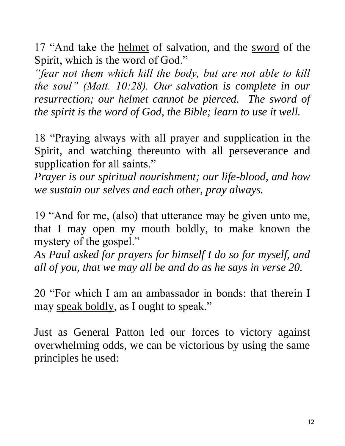17 "And take the helmet of salvation, and the sword of the Spirit, which is the word of God."

*"fear not them which kill the body, but are not able to kill the soul" (Matt. 10:28). Our salvation is complete in our resurrection; our helmet cannot be pierced. The sword of the spirit is the word of God, the Bible; learn to use it well.* 

18 "Praying always with all prayer and supplication in the Spirit, and watching thereunto with all perseverance and supplication for all saints."

*Prayer is our spiritual nourishment; our life-blood, and how we sustain our selves and each other, pray always.*

19 "And for me, (also) that utterance may be given unto me, that I may open my mouth boldly, to make known the mystery of the gospel."

*As Paul asked for prayers for himself I do so for myself, and all of you, that we may all be and do as he says in verse 20.*

20 "For which I am an ambassador in bonds: that therein I may speak boldly, as I ought to speak."

Just as General Patton led our forces to victory against overwhelming odds, we can be victorious by using the same principles he used: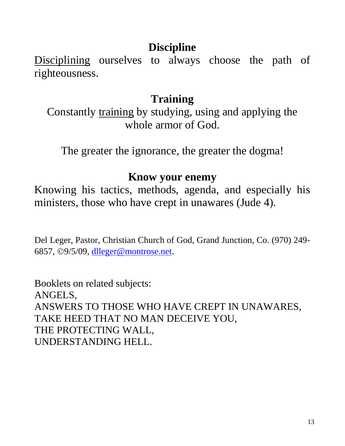# **Discipline**

Disciplining ourselves to always choose the path of righteousness.

# **Training**

Constantly training by studying, using and applying the whole armor of God.

The greater the ignorance, the greater the dogma!

#### **Know your enemy**

Knowing his tactics, methods, agenda, and especially his ministers, those who have crept in unawares (Jude 4).

Del Leger, Pastor, Christian Church of God, Grand Junction, Co. (970) 249 6857, ©9/5/09, [dlleger@montrose.net](mailto:dlleger@montrose.net).

Booklets on related subjects: ANGELS, ANSWERS TO THOSE WHO HAVE CREPT IN UNAWARES, TAKE HEED THAT NO MAN DECEIVE YOU, THE PROTECTING WALL, UNDERSTANDING HELL.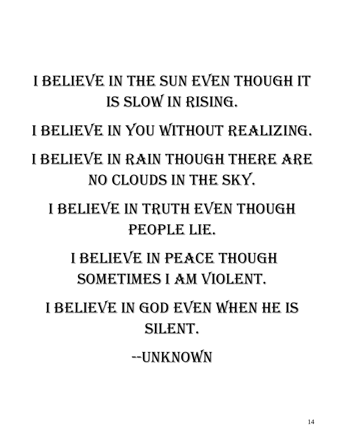# I BELIEVE IN THE SUN EVEN THOUGH IT is slow in rising.

I believe in you without realizing.

I believe in rain though there are no clouds in the sky.

# I believe in truth even though people lie.

I believe in peace though sometimes I am violent.

I believe in God even when he is silent.

--Unknown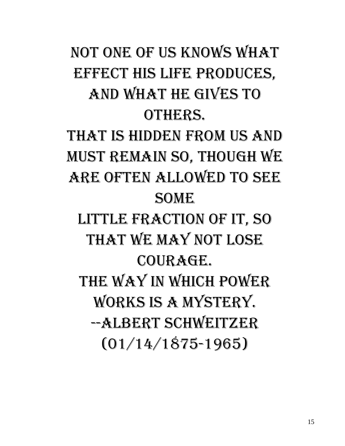# Not one of us knows what effect his life produces, and what he gives to others. That is hidden from us and

must remain so, though we ARE OFTEN ALLOWED TO SEE **SOME** 

little fraction of it, so that we may not lose courage. The way in which power works is a mystery. --Albert Schweitzer (01/14/1875-1965)